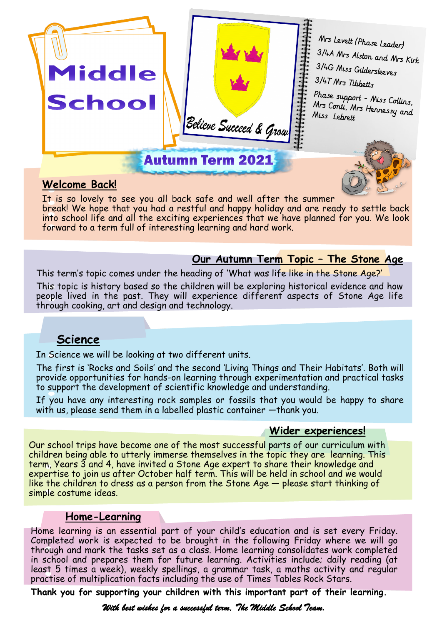

## **Welcome Back!**

It is so lovely to see you all back safe and well after the summer break! We hope that you had a restful and happy holiday and are ready to settle back into school life and all the exciting experiences that we have planned for you. We look forward to a term full of interesting learning and hard work.

### **Our Autumn Term Topic – The Stone Age**

This term's topic comes under the heading of 'What was life like in the Stone Age?'

This topic is history based so the children will be exploring historical evidence and how people lived in the past. They will experience different aspects of Stone Age life through cooking, art and design and technology.

## **Science**

In Science we will be looking at two different units.

The first is 'Rocks and Soils' and the second 'Living Things and Their Habitats'. Both will provide opportunities for hands-on learning through experimentation and practical tasks to support the development of scientific knowledge and understanding.

If you have any interesting rock samples or fossils that you would be happy to share with us, please send them in a labelled plastic container —thank you.

#### **Wider experiences!**

Our school trips have become one of the most successful parts of our curriculum with children being able to utterly immerse themselves in the topic they are learning. This term, Years 3 and 4, have invited a Stone Age expert to share their knowledge and expertise to join us after October half term. This will be held in school and we would like the children to dress as a person from the Stone  $Age$   $-$  please start thinking of simple costume ideas.

#### **Home-Learning**

Home learning is an essential part of your child's education and is set every Friday. Completed work is expected to be brought in the following Friday where we will go through and mark the tasks set as a class. Home learning consolidates work completed in school and prepares them for future learning. Activities include; daily reading (at least 5 times a week), weekly spellings, a grammar task, a maths activity and regular practise of multiplication facts including the use of Times Tables Rock Stars.

**Thank you for supporting your children with this important part of their learning.** 

*With best wishes for a successful term, The Middle School Team.*